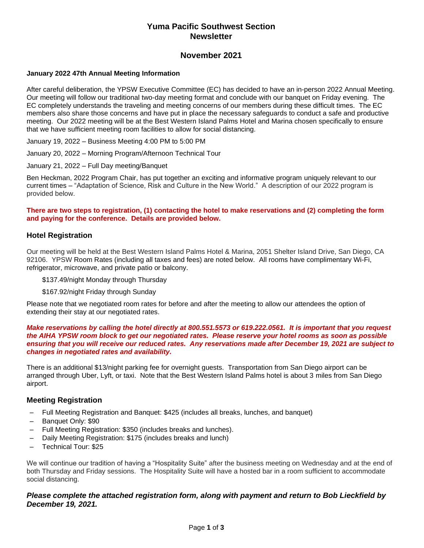# **Yuma Pacific Southwest Section Newsletter**

# **November 2021**

### **January 2022 47th Annual Meeting Information**

After careful deliberation, the YPSW Executive Committee (EC) has decided to have an in-person 2022 Annual Meeting. Our meeting will follow our traditional two-day meeting format and conclude with our banquet on Friday evening. The EC completely understands the traveling and meeting concerns of our members during these difficult times. The EC members also share those concerns and have put in place the necessary safeguards to conduct a safe and productive meeting. Our 2022 meeting will be at the Best Western Island Palms Hotel and Marina chosen specifically to ensure that we have sufficient meeting room facilities to allow for social distancing.

January 19, 2022 – Business Meeting 4:00 PM to 5:00 PM

January 20, 2022 – Morning Program/Afternoon Technical Tour

January 21, 2022 – Full Day meeting/Banquet

Ben Heckman, 2022 Program Chair, has put together an exciting and informative program uniquely relevant to our current times – "Adaptation of Science, Risk and Culture in the New World." A description of our 2022 program is provided below.

### **There are two steps to registration, (1) contacting the hotel to make reservations and (2) completing the form and paying for the conference. Details are provided below.**

## **Hotel Registration**

Our meeting will be held at the Best Western Island Palms Hotel & Marina, 2051 Shelter Island Drive, San Diego, CA 92106. YPSW Room Rates (including all taxes and fees) are noted below. All rooms have complimentary Wi-Fi, refrigerator, microwave, and private patio or balcony.

\$137.49/night Monday through Thursday

\$167.92/night Friday through Sunday

Please note that we negotiated room rates for before and after the meeting to allow our attendees the option of extending their stay at our negotiated rates.

### *Make reservations by calling the hotel directly at 800.551.5573 or 619.222.0561. It is important that you request the AIHA YPSW room block to get our negotiated rates. Please reserve your hotel rooms as soon as possible ensuring that you will receive our reduced rates. Any reservations made after December 19, 2021 are subject to changes in negotiated rates and availability.*

There is an additional \$13/night parking fee for overnight guests. Transportation from San Diego airport can be arranged through Uber, Lyft, or taxi. Note that the Best Western Island Palms hotel is about 3 miles from San Diego airport.

### **Meeting Registration**

- Full Meeting Registration and Banquet: \$425 (includes all breaks, lunches, and banquet)
- Banquet Only: \$90
- Full Meeting Registration: \$350 (includes breaks and lunches).
- Daily Meeting Registration: \$175 (includes breaks and lunch)
- Technical Tour: \$25

We will continue our tradition of having a "Hospitality Suite" after the business meeting on Wednesday and at the end of both Thursday and Friday sessions. The Hospitality Suite will have a hosted bar in a room sufficient to accommodate social distancing.

### *Please complete the attached registration form, along with payment and return to Bob Lieckfield by December 19, 2021.*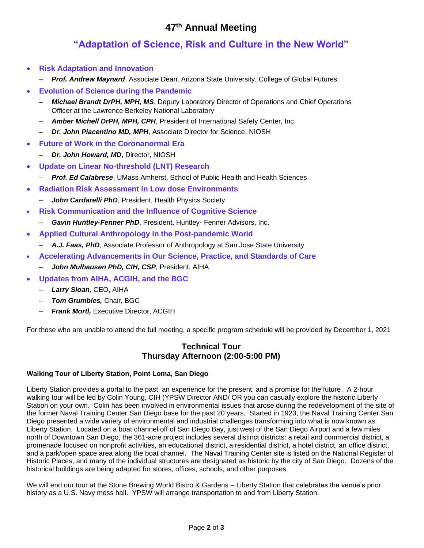# **47th Annual Meeting**

# **"Adaptation of Science, Risk and Culture in the New World"**

- **Risk Adaptation and Innovation**
	- *Prof. Andrew Maynard*, Associate Dean, Arizona State University, College of Global Futures
- **Evolution of Science during the Pandemic**
	- *Michael Brandt DrPH, MPH, MS*, Deputy Laboratory Director of Operations and Chief Operations Officer at the Lawrence Berkeley National Laboratory
	- *Amber Michell DrPH, MPH, CPH*, President of International Safety Center, Inc.
	- *Dr. John Piacentino MD, MPH*, Associate Director for Science, NIOSH
- **Future of Work in the Coronanormal Era**
	- *Dr. John Howard, MD*, Director, NIOSH
- **Update on Linear No-threshold (LNT) Research**
	- *Prof. Ed Calabrese*, UMass Amherst, School of Public Health and Health Sciences
- **Radiation Risk Assessment in Low dose Environments**
	- *John Cardarelli PhD*, President, Health Physics Society
- **Risk Communication and the Influence of Cognitive Science**
	- *Gavin Huntley-Fenner PhD*, President, Huntley- Fenner Advisors, Inc.
- **Applied Cultural Anthropology in the Post-pandemic World**
	- *A.J. Faas, PhD*, Associate Professor of Anthropology at San Jose State University
- **Accelerating Advancements in Our Science, Practice, and Standards of Care**
	- *John Mulhausen PhD, CIH, CSP*, President, AIHA
- **Updates from AIHA, ACGIH, and the BGC**
	- *Larry Sloan,* CEO, AIHA
	- *Tom Grumbles,* Chair, BGC
	- **Frank Mortl, Executive Director, ACGIH**

For those who are unable to attend the full meeting, a specific program schedule will be provided by December 1, 2021

# **Technical Tour Thursday Afternoon (2:00-5:00 PM)**

### **Walking Tour of Liberty Station, Point Loma, San Diego**

Liberty Station provides a portal to the past, an experience for the present, and a promise for the future. A 2-hour walking tour will be led by Colin Young, CIH (YPSW Director AND/ OR you can casually explore the historic Liberty Station on your own. Colin has been involved in environmental issues that arose during the redevelopment of the site of the former Naval Training Center San Diego base for the past 20 years. Started in 1923, the Naval Training Center San Diego presented a wide variety of environmental and industrial challenges transforming into what is now known as Liberty Station. Located on a boat channel off of San Diego Bay, just west of the San Diego Airport and a few miles north of Downtown San Diego, the 361-acre project includes several distinct districts: a retail and commercial district, a promenade focused on nonprofit activities, an educational district, a residential district, a hotel district, an office district, and a park/open space area along the boat channel. The Naval Training Center site is listed on the National Register of Historic Places, and many of the individual structures are designated as historic by the city of San Diego. Dozens of the historical buildings are being adapted for stores, offices, schools, and other purposes.

We will end our tour at the Stone Brewing World Bistro & Gardens – Liberty Station that celebrates the venue's prior history as a U.S. Navy mess hall. YPSW will arrange transportation to and from Liberty Station.